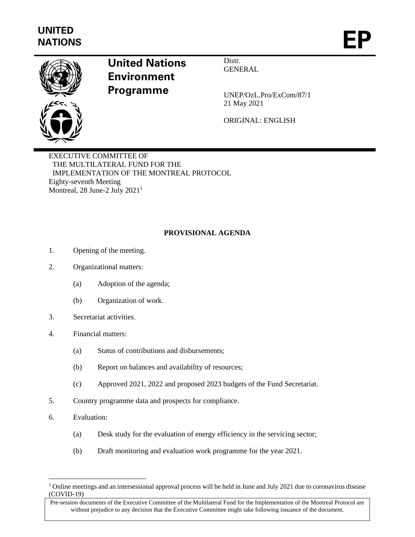

## **United Nations Environment Programme**

Distr. **GENERAL** 

UNEP/OzL.Pro/ExCom/87/1 21 May 2021

ORIGINAL: ENGLISH

EXECUTIVE COMMITTEE OF THE MULTILATERAL FUND FOR THE IMPLEMENTATION OF THE MONTREAL PROTOCOL Eighty-seventh Meeting Montreal, 28 June-2 July 2021<sup>1</sup>

## **PROVISIONAL AGENDA**

- 1. Opening of the meeting.
- 2. Organizational matters:
	- (a) Adoption of the agenda;
	- (b) Organization of work.
- 3. Secretariat activities.
- 4. Financial matters:
	- (a) Status of contributions and disbursements;
	- (b) Report on balances and availability of resources;
	- (c) Approved 2021, 2022 and proposed 2023 budgets of the Fund Secretariat.
- 5. Country programme data and prospects for compliance.
- 6. Evaluation:
	- (a) Desk study for the evaluation of energy efficiency in the servicing sector;
	- (b) Draft monitoring and evaluation work programme for the year 2021.

<sup>&</sup>lt;sup>1</sup> Online meetings and an intersessional approval process will be held in June and July 2021 due to coronavirus disease (COVID-19)

Pre-session documents of the Executive Committee of the Multilateral Fund for the Implementation of the Montreal Protocol are without prejudice to any decision that the Executive Committee might take following issuance of the document.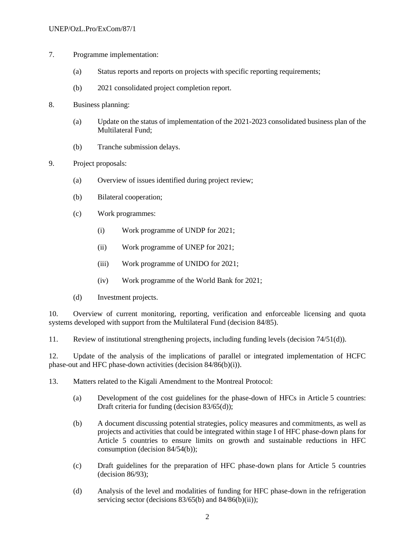- 7. Programme implementation:
	- (a) Status reports and reports on projects with specific reporting requirements;
	- (b) 2021 consolidated project completion report.
- 8. Business planning:
	- (a) Update on the status of implementation of the 2021-2023 consolidated business plan of the Multilateral Fund;
	- (b) Tranche submission delays.
- 9. Project proposals:
	- (a) Overview of issues identified during project review;
	- (b) Bilateral cooperation;
	- (c) Work programmes:
		- (i) Work programme of UNDP for 2021;
		- (ii) Work programme of UNEP for 2021;
		- (iii) Work programme of UNIDO for 2021;
		- (iv) Work programme of the World Bank for 2021;
	- (d) Investment projects.

10. Overview of current monitoring, reporting, verification and enforceable licensing and quota systems developed with support from the Multilateral Fund (decision 84/85).

11. Review of institutional strengthening projects, including funding levels (decision 74/51(d)).

12. Update of the analysis of the implications of parallel or integrated implementation of HCFC phase-out and HFC phase-down activities (decision 84/86(b)(i)).

13. Matters related to the Kigali Amendment to the Montreal Protocol:

- (a) Development of the cost guidelines for the phase-down of HFCs in Article 5 countries: Draft criteria for funding (decision 83/65(d));
- (b) A document discussing potential strategies, policy measures and commitments, as well as projects and activities that could be integrated within stage I of HFC phase-down plans for Article 5 countries to ensure limits on growth and sustainable reductions in HFC consumption (decision 84/54(b));
- (c) Draft guidelines for the preparation of HFC phase-down plans for Article 5 countries (decision 86/93);
- (d) Analysis of the level and modalities of funding for HFC phase-down in the refrigeration servicing sector (decisions  $83/65$ (b) and  $84/86$ (b)(ii));